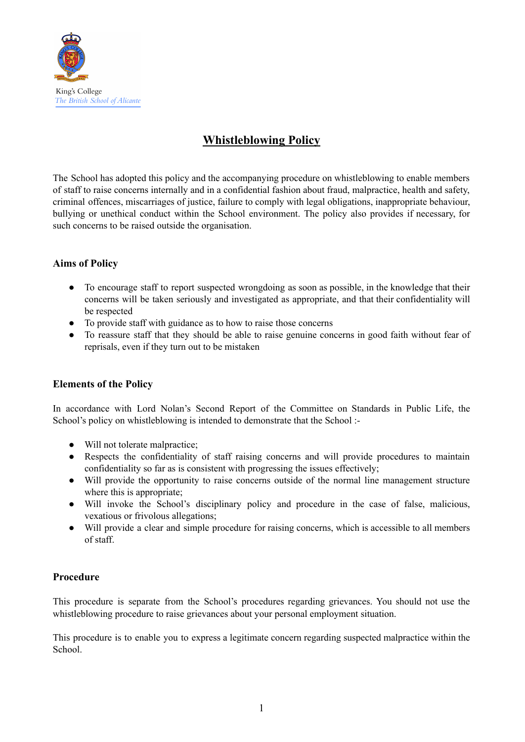

# **Whistleblowing Policy**

The School has adopted this policy and the accompanying procedure on whistleblowing to enable members of staff to raise concerns internally and in a confidential fashion about fraud, malpractice, health and safety, criminal offences, miscarriages of justice, failure to comply with legal obligations, inappropriate behaviour, bullying or unethical conduct within the School environment. The policy also provides if necessary, for such concerns to be raised outside the organisation.

## **Aims of Policy**

- To encourage staff to report suspected wrongdoing as soon as possible, in the knowledge that their concerns will be taken seriously and investigated as appropriate, and that their confidentiality will be respected
- To provide staff with guidance as to how to raise those concerns
- To reassure staff that they should be able to raise genuine concerns in good faith without fear of reprisals, even if they turn out to be mistaken

## **Elements of the Policy**

In accordance with Lord Nolan's Second Report of the Committee on Standards in Public Life, the School's policy on whistleblowing is intended to demonstrate that the School :-

- Will not tolerate malpractice;
- Respects the confidentiality of staff raising concerns and will provide procedures to maintain confidentiality so far as is consistent with progressing the issues effectively;
- Will provide the opportunity to raise concerns outside of the normal line management structure where this is appropriate;
- Will invoke the School's disciplinary policy and procedure in the case of false, malicious, vexatious or frivolous allegations;
- Will provide a clear and simple procedure for raising concerns, which is accessible to all members of staff.

#### **Procedure**

This procedure is separate from the School's procedures regarding grievances. You should not use the whistleblowing procedure to raise grievances about your personal employment situation.

This procedure is to enable you to express a legitimate concern regarding suspected malpractice within the School.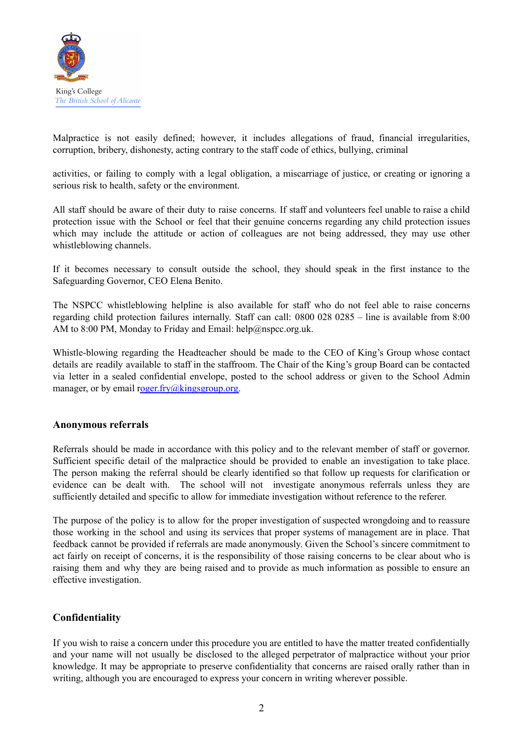

Malpractice is not easily defined; however, it includes allegations of fraud, financial irregularities, corruption, bribery, dishonesty, acting contrary to the staff code of ethics, bullying, criminal

activities, or failing to comply with a legal obligation, a miscarriage of justice, or creating or ignoring a serious risk to health, safety or the environment.

All staff should be aware of their duty to raise concerns. If staff and volunteers feel unable to raise a child protection issue with the School or feel that their genuine concerns regarding any child protection issues which may include the attitude or action of colleagues are not being addressed, they may use other whistleblowing channels.

If it becomes necessary to consult outside the school, they should speak in the first instance to the Safeguarding Governor, CEO Elena Benito.

The NSPCC whistleblowing helpline is also available for staff who do not feel able to raise concerns regarding child protection failures internally. Staff can call: 0800 028 0285 – line is available from 8:00 AM to 8:00 PM, Monday to Friday and Email: help@nspcc.org.uk.

Whistle-blowing regarding the Headteacher should be made to the CEO of King's Group whose contact details are readily available to staff in the staffroom. The Chair of the King's group Board can be contacted via letter in a sealed confidential envelope, posted to the school address or given to the School Admin manager, or by email [roger.fry@kingsgroup.org.](mailto:Roger.fry@kingsgroup.org)

#### **Anonymous referrals**

Referrals should be made in accordance with this policy and to the relevant member of staff or governor. Sufficient specific detail of the malpractice should be provided to enable an investigation to take place. The person making the referral should be clearly identified so that follow up requests for clarification or evidence can be dealt with. The school will not investigate anonymous referrals unless they are sufficiently detailed and specific to allow for immediate investigation without reference to the referer.

The purpose of the policy is to allow for the proper investigation of suspected wrongdoing and to reassure those working in the school and using its services that proper systems of management are in place. That feedback cannot be provided if referrals are made anonymously. Given the School's sincere commitment to act fairly on receipt of concerns, it is the responsibility of those raising concerns to be clear about who is raising them and why they are being raised and to provide as much information as possible to ensure an effective investigation.

#### **Confidentiality**

If you wish to raise a concern under this procedure you are entitled to have the matter treated confidentially and your name will not usually be disclosed to the alleged perpetrator of malpractice without your prior knowledge. It may be appropriate to preserve confidentiality that concerns are raised orally rather than in writing, although you are encouraged to express your concern in writing wherever possible.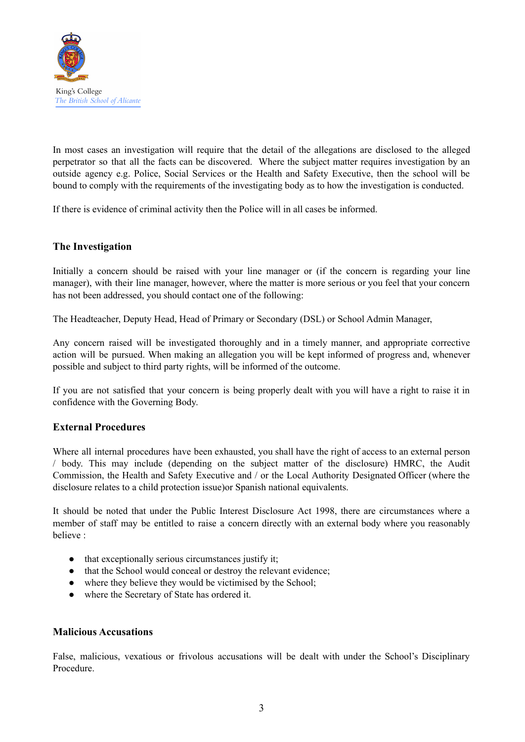

In most cases an investigation will require that the detail of the allegations are disclosed to the alleged perpetrator so that all the facts can be discovered. Where the subject matter requires investigation by an outside agency e.g. Police, Social Services or the Health and Safety Executive, then the school will be bound to comply with the requirements of the investigating body as to how the investigation is conducted.

If there is evidence of criminal activity then the Police will in all cases be informed.

#### **The Investigation**

Initially a concern should be raised with your line manager or (if the concern is regarding your line manager), with their line manager, however, where the matter is more serious or you feel that your concern has not been addressed, you should contact one of the following:

The Headteacher, Deputy Head, Head of Primary or Secondary (DSL) or School Admin Manager,

Any concern raised will be investigated thoroughly and in a timely manner, and appropriate corrective action will be pursued. When making an allegation you will be kept informed of progress and, whenever possible and subject to third party rights, will be informed of the outcome.

If you are not satisfied that your concern is being properly dealt with you will have a right to raise it in confidence with the Governing Body.

#### **External Procedures**

Where all internal procedures have been exhausted, you shall have the right of access to an external person / body. This may include (depending on the subject matter of the disclosure) HMRC, the Audit Commission, the Health and Safety Executive and / or the Local Authority Designated Officer (where the disclosure relates to a child protection issue)or Spanish national equivalents.

It should be noted that under the Public Interest Disclosure Act 1998, there are circumstances where a member of staff may be entitled to raise a concern directly with an external body where you reasonably believe :

- that exceptionally serious circumstances justify it;
- that the School would conceal or destroy the relevant evidence;
- where they believe they would be victimised by the School;
- where the Secretary of State has ordered it.

#### **Malicious Accusations**

False, malicious, vexatious or frivolous accusations will be dealt with under the School's Disciplinary Procedure.